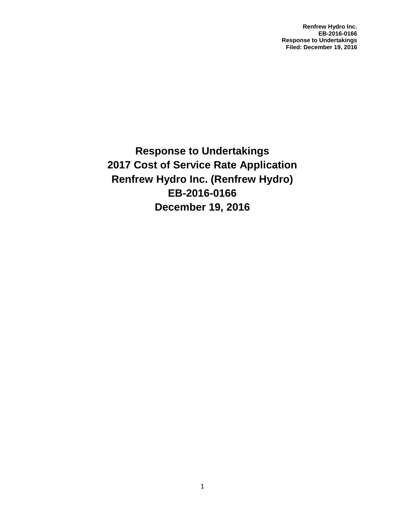**Renfrew Hydro Inc. EB-2016-0166 Response to Undertakings Filed: December 19, 2016**

**Response to Undertakings 2017 Cost of Service Rate Application Renfrew Hydro Inc. (Renfrew Hydro) EB-2016-0166 December 19, 2016**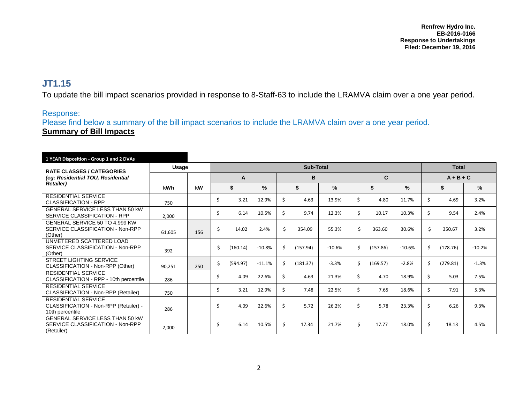## **JT1.15**

To update the bill impact scenarios provided in response to 8-Staff-63 to include the LRAMVA claim over a one year period.

## Response:

Please find below a summary of the bill impact scenarios to include the LRAMVA claim over a one year period. **Summary of Bill Impacts** 

| 1 YEAR Disposition - Group 1 and 2 DVAs                                                   |        |     |           |          |          |    |          |          |              |          |          |             |          |              |  |  |  |
|-------------------------------------------------------------------------------------------|--------|-----|-----------|----------|----------|----|----------|----------|--------------|----------|----------|-------------|----------|--------------|--|--|--|
| <b>RATE CLASSES / CATEGORIES</b><br>(eg: Residential TOU, Residential<br><b>Retailer)</b> | Usage  |     | Sub-Total |          |          |    |          |          |              |          |          |             |          | <b>Total</b> |  |  |  |
|                                                                                           |        |     |           | A        |          |    |          |          | $\mathbf{C}$ |          |          | $A + B + C$ |          |              |  |  |  |
|                                                                                           | kWh    | kW  | \$        |          | $\%$     |    | \$       | %        | \$           |          | %        |             | \$       | %            |  |  |  |
| <b>RESIDENTIAL SERVICE</b><br><b>CLASSIFICATION - RPP</b>                                 | 750    |     | Ś         | 3.21     | 12.9%    | Ś  | 4.63     | 13.9%    | \$           | 4.80     | 11.7%    | Ś           | 4.69     | 3.2%         |  |  |  |
| GENERAL SERVICE LESS THAN 50 KW<br>SERVICE CLASSIFICATION - RPP                           | 2,000  |     | Ś         | 6.14     | 10.5%    | \$ | 9.74     | 12.3%    | \$           | 10.17    | 10.3%    | Ś           | 9.54     | 2.4%         |  |  |  |
| GENERAL SERVICE 50 TO 4,999 KW<br>SERVICE CLASSIFICATION - Non-RPP<br>(Other)             | 61,605 | 156 | Ś         | 14.02    | 2.4%     | Ś. | 354.09   | 55.3%    | \$           | 363.60   | 30.6%    | Ś.          | 350.67   | 3.2%         |  |  |  |
| UNMETERED SCATTERED LOAD<br>SERVICE CLASSIFICATION - Non-RPP<br>(Other)                   | 392    |     | Ś.        | (160.14) | $-10.8%$ | Ś  | (157.94) | $-10.6%$ | \$           | (157.86) | $-10.6%$ | Ś           | (178.76) | $-10.2%$     |  |  |  |
| <b>STREET LIGHTING SERVICE</b><br>CLASSIFICATION - Non-RPP (Other)                        | 90.251 | 250 | \$        | (594.97) | $-11.1%$ | Ś. | (181.37) | $-3.3%$  | \$           | (169.57) | $-2.8%$  | Ś.          | (279.81) | $-1.3%$      |  |  |  |
| <b>RESIDENTIAL SERVICE</b><br>CLASSIFICATION - RPP - 10th percentile                      | 286    |     | Ŝ.        | 4.09     | 22.6%    | Ś. | 4.63     | 21.3%    | \$           | 4.70     | 18.9%    | \$          | 5.03     | 7.5%         |  |  |  |
| <b>RESIDENTIAL SERVICE</b><br>CLASSIFICATION - Non-RPP (Retailer)                         | 750    |     | Ś.        | 3.21     | 12.9%    | Ś. | 7.48     | 22.5%    | \$           | 7.65     | 18.6%    | Ś           | 7.91     | 5.3%         |  |  |  |
| <b>RESIDENTIAL SERVICE</b><br>CLASSIFICATION - Non-RPP (Retailer) -<br>10th percentile    | 286    |     | Ś         | 4.09     | 22.6%    | Ś. | 5.72     | 26.2%    | \$           | 5.78     | 23.3%    | Ś           | 6.26     | 9.3%         |  |  |  |
| <b>GENERAL SERVICE LESS THAN 50 KW</b><br>SERVICE CLASSIFICATION - Non-RPP<br>(Retailer)  | 2,000  |     | Ŝ.        | 6.14     | 10.5%    | \$ | 17.34    | 21.7%    | \$           | 17.77    | 18.0%    | Ś.          | 18.13    | 4.5%         |  |  |  |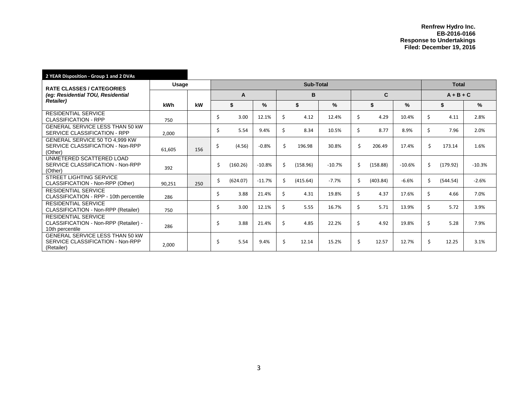| 2 YEAR Disposition - Group 1 and 2 DVAs                                                   |        |     |    |            |              |    |          |          |    |          |          |             |          |          |
|-------------------------------------------------------------------------------------------|--------|-----|----|------------|--------------|----|----------|----------|----|----------|----------|-------------|----------|----------|
| <b>RATE CLASSES / CATEGORIES</b><br>(eg: Residential TOU, Residential<br><b>Retailer)</b> | Usage  |     |    |            | <b>Total</b> |    |          |          |    |          |          |             |          |          |
|                                                                                           |        |     |    | A          |              |    | B        |          |    | C        |          | $A + B + C$ |          |          |
|                                                                                           | kWh    | kW  |    | \$<br>$\%$ |              | \$ |          | %        | \$ |          | %        |             | \$       | %        |
| <b>RESIDENTIAL SERVICE</b><br><b>CLASSIFICATION - RPP</b>                                 | 750    |     | \$ | 3.00       | 12.1%        | Ś. | 4.12     | 12.4%    | \$ | 4.29     | 10.4%    | \$          | 4.11     | 2.8%     |
| <b>GENERAL SERVICE LESS THAN 50 KW</b><br>SERVICE CLASSIFICATION - RPP                    | 2,000  |     | Ś. | 5.54       | 9.4%         | Ś. | 8.34     | 10.5%    | \$ | 8.77     | 8.9%     | \$          | 7.96     | 2.0%     |
| GENERAL SERVICE 50 TO 4,999 KW<br>SERVICE CLASSIFICATION - Non-RPP<br>(Other)             | 61,605 | 156 | \$ | (4.56)     | $-0.8%$      | \$ | 196.98   | 30.8%    | \$ | 206.49   | 17.4%    | Ś.          | 173.14   | 1.6%     |
| UNMETERED SCATTERED LOAD<br>SERVICE CLASSIFICATION - Non-RPP<br>(Other)                   | 392    |     | \$ | (160.26)   | $-10.8%$     | Ś. | (158.96) | $-10.7%$ | \$ | (158.88) | $-10.6%$ | Ś.          | (179.92) | $-10.3%$ |
| <b>STREET LIGHTING SERVICE</b><br>CLASSIFICATION - Non-RPP (Other)                        | 90,251 | 250 | Ś. | (624.07)   | $-11.7%$     | Ś. | (415.64) | $-7.7%$  | \$ | (403.84) | $-6.6%$  | Ś.          | (544.54) | $-2.6%$  |
| <b>RESIDENTIAL SERVICE</b><br>CLASSIFICATION - RPP - 10th percentile                      | 286    |     | Ś. | 3.88       | 21.4%        | Ś. | 4.31     | 19.8%    | \$ | 4.37     | 17.6%    | \$          | 4.66     | 7.0%     |
| <b>RESIDENTIAL SERVICE</b><br>CLASSIFICATION - Non-RPP (Retailer)                         | 750    |     | Ś. | 3.00       | 12.1%        | Ś. | 5.55     | 16.7%    | \$ | 5.71     | 13.9%    | Ś.          | 5.72     | 3.9%     |
| <b>RESIDENTIAL SERVICE</b><br>CLASSIFICATION - Non-RPP (Retailer) -<br>10th percentile    | 286    |     | Ŝ. | 3.88       | 21.4%        | Ś. | 4.85     | 22.2%    | \$ | 4.92     | 19.8%    | Ŝ.          | 5.28     | 7.9%     |
| <b>GENERAL SERVICE LESS THAN 50 KW</b><br>SERVICE CLASSIFICATION - Non-RPP<br>(Retailer)  | 2,000  |     | Ŝ. | 5.54       | 9.4%         | Ś. | 12.14    | 15.2%    | \$ | 12.57    | 12.7%    | Ś.          | 12.25    | 3.1%     |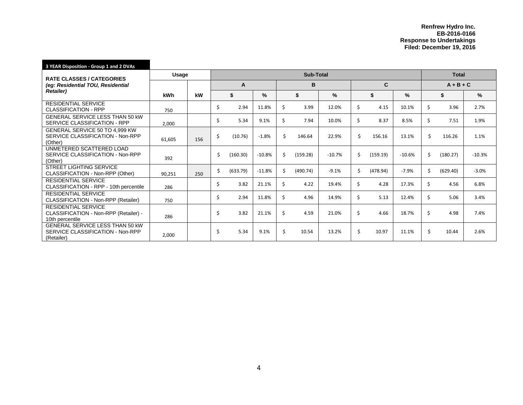| 3 YEAR Disposition - Group 1 and 2 DVAs                                                   |        |     |    |              |          |    |          |          |    |          |          |    |             |          |  |
|-------------------------------------------------------------------------------------------|--------|-----|----|--------------|----------|----|----------|----------|----|----------|----------|----|-------------|----------|--|
| <b>RATE CLASSES / CATEGORIES</b><br>(eg: Residential TOU, Residential<br><b>Retailer)</b> | Usage  |     |    | <b>Total</b> |          |    |          |          |    |          |          |    |             |          |  |
|                                                                                           |        |     | A  |              |          | B  |          |          | C  |          |          |    | $A + B + C$ |          |  |
|                                                                                           | kWh    | kW  |    | \$           | $\%$     |    | \$       | $\%$     |    | \$       | %        |    | \$          | $\%$     |  |
| <b>RESIDENTIAL SERVICE</b><br><b>CLASSIFICATION - RPP</b>                                 | 750    |     | Ŝ. | 2.94         | 11.8%    | Ś. | 3.99     | 12.0%    | \$ | 4.15     | 10.1%    | Ś. | 3.96        | 2.7%     |  |
| <b>GENERAL SERVICE LESS THAN 50 KW</b><br>SERVICE CLASSIFICATION - RPP                    | 2,000  |     | Ŝ. | 5.34         | 9.1%     | \$ | 7.94     | 10.0%    | \$ | 8.37     | 8.5%     | Ś. | 7.51        | 1.9%     |  |
| GENERAL SERVICE 50 TO 4,999 KW<br>SERVICE CLASSIFICATION - Non-RPP<br>(Other)             | 61,605 | 156 | Ŝ. | (10.76)      | $-1.8%$  | Ś. | 146.64   | 22.9%    | \$ | 156.16   | 13.1%    | Ś. | 116.26      | 1.1%     |  |
| UNMETERED SCATTERED LOAD<br>SERVICE CLASSIFICATION - Non-RPP<br>(Other)                   | 392    |     | Ś. | (160.30)     | $-10.8%$ | Ś. | (159.28) | $-10.7%$ | \$ | (159.19) | $-10.6%$ | Ś. | (180.27)    | $-10.3%$ |  |
| <b>STREET LIGHTING SERVICE</b><br>CLASSIFICATION - Non-RPP (Other)                        | 90,251 | 250 | Ś. | (633.79)     | $-11.8%$ | Ś. | (490.74) | $-9.1%$  | \$ | (478.94) | $-7.9%$  | Ś. | (629.40)    | $-3.0%$  |  |
| <b>RESIDENTIAL SERVICE</b><br>CLASSIFICATION - RPP - 10th percentile                      | 286    |     | Ŝ. | 3.82         | 21.1%    | Ś. | 4.22     | 19.4%    | \$ | 4.28     | 17.3%    | Ś. | 4.56        | 6.8%     |  |
| <b>RESIDENTIAL SERVICE</b><br>CLASSIFICATION - Non-RPP (Retailer)                         | 750    |     | Ŝ. | 2.94         | 11.8%    | Ś. | 4.96     | 14.9%    | \$ | 5.13     | 12.4%    | Ś. | 5.06        | 3.4%     |  |
| <b>RESIDENTIAL SERVICE</b><br>CLASSIFICATION - Non-RPP (Retailer) -<br>10th percentile    | 286    |     | Ŝ. | 3.82         | 21.1%    | Ś. | 4.59     | 21.0%    | \$ | 4.66     | 18.7%    | Ś. | 4.98        | 7.4%     |  |
| GENERAL SERVICE LESS THAN 50 KW<br>SERVICE CLASSIFICATION - Non-RPP<br>(Retailer)         | 2,000  |     | Ŝ. | 5.34         | 9.1%     | Ś. | 10.54    | 13.2%    | \$ | 10.97    | 11.1%    | Ś. | 10.44       | 2.6%     |  |